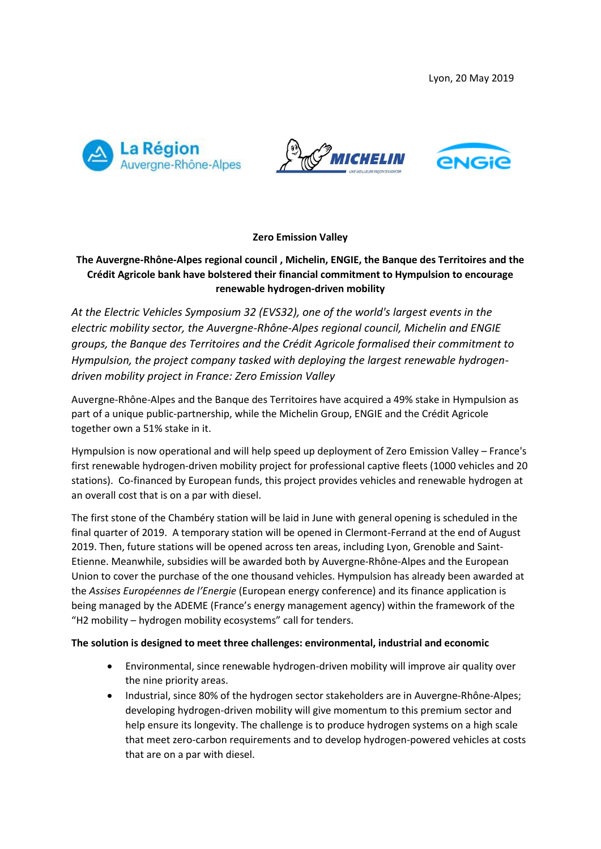





# **Zero Emission Valley**

# **The Auvergne-Rhône-Alpes regional council , Michelin, ENGIE, the Banque des Territoires and the Crédit Agricole bank have bolstered their financial commitment to Hympulsion to encourage renewable hydrogen-driven mobility**

*At the Electric Vehicles Symposium 32 (EVS32), one of the world's largest events in the electric mobility sector, the Auvergne-Rhône-Alpes regional council, Michelin and ENGIE groups, the Banque des Territoires and the Crédit Agricole formalised their commitment to Hympulsion, the project company tasked with deploying the largest renewable hydrogendriven mobility project in France: Zero Emission Valley*

Auvergne-Rhône-Alpes and the Banque des Territoires have acquired a 49% stake in Hympulsion as part of a unique public-partnership, while the Michelin Group, ENGIE and the Crédit Agricole together own a 51% stake in it.

Hympulsion is now operational and will help speed up deployment of Zero Emission Valley – France's first renewable hydrogen-driven mobility project for professional captive fleets (1000 vehicles and 20 stations). Co-financed by European funds, this project provides vehicles and renewable hydrogen at an overall cost that is on a par with diesel.

The first stone of the Chambéry station will be laid in June with general opening is scheduled in the final quarter of 2019. A temporary station will be opened in Clermont-Ferrand at the end of August 2019. Then, future stations will be opened across ten areas, including Lyon, Grenoble and Saint-Etienne. Meanwhile, subsidies will be awarded both by Auvergne-Rhône-Alpes and the European Union to cover the purchase of the one thousand vehicles. Hympulsion has already been awarded at the *Assises Européennes de l'Energie* (European energy conference) and its finance application is being managed by the ADEME (France's energy management agency) within the framework of the "H2 mobility – hydrogen mobility ecosystems" call for tenders.

### **The solution is designed to meet three challenges: environmental, industrial and economic**

- Environmental, since renewable hydrogen-driven mobility will improve air quality over the nine priority areas.
- Industrial, since 80% of the hydrogen sector stakeholders are in Auvergne-Rhône-Alpes; developing hydrogen-driven mobility will give momentum to this premium sector and help ensure its longevity. The challenge is to produce hydrogen systems on a high scale that meet zero-carbon requirements and to develop hydrogen-powered vehicles at costs that are on a par with diesel.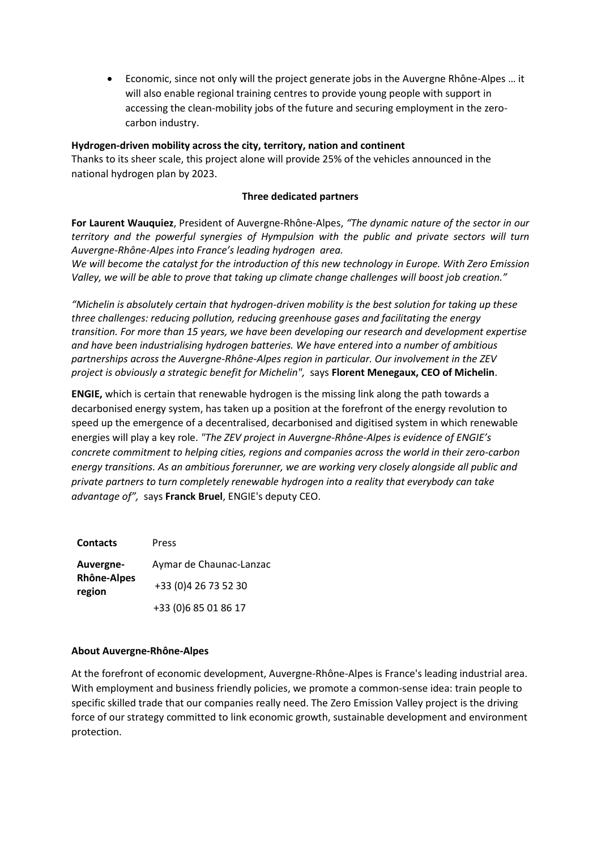Economic, since not only will the project generate jobs in the Auvergne Rhône-Alpes … it will also enable regional training centres to provide young people with support in accessing the clean-mobility jobs of the future and securing employment in the zerocarbon industry.

# **Hydrogen-driven mobility across the city, territory, nation and continent**

Thanks to its sheer scale, this project alone will provide 25% of the vehicles announced in the national hydrogen plan by 2023.

## **Three dedicated partners**

**For Laurent Wauquiez**, President of Auvergne-Rhône-Alpes, *"The dynamic nature of the sector in our territory and the powerful synergies of Hympulsion with the public and private sectors will turn Auvergne-Rhône-Alpes into France's leading hydrogen area.* 

*We will become the catalyst for the introduction of this new technology in Europe. With Zero Emission Valley, we will be able to prove that taking up climate change challenges will boost job creation."*

*"Michelin is absolutely certain that hydrogen-driven mobility is the best solution for taking up these three challenges: reducing pollution, reducing greenhouse gases and facilitating the energy transition. For more than 15 years, we have been developing our research and development expertise and have been industrialising hydrogen batteries. We have entered into a number of ambitious partnerships across the Auvergne-Rhône-Alpes region in particular. Our involvement in the ZEV project is obviously a strategic benefit for Michelin",* says **Florent Menegaux, CEO of Michelin**.

**ENGIE,** which is certain that renewable hydrogen is the missing link along the path towards a decarbonised energy system, has taken up a position at the forefront of the energy revolution to speed up the emergence of a decentralised, decarbonised and digitised system in which renewable energies will play a key role. *"The ZEV project in Auvergne-Rhône-Alpes is evidence of ENGIE's concrete commitment to helping cities, regions and companies across the world in their zero-carbon energy transitions. As an ambitious forerunner, we are working very closely alongside all public and private partners to turn completely renewable hydrogen into a reality that everybody can take advantage of",* says **Franck Bruel**, ENGIE's deputy CEO.

| <b>Contacts</b>                           | Press                   |
|-------------------------------------------|-------------------------|
| Auvergne-<br><b>Rhône-Alpes</b><br>region | Aymar de Chaunac-Lanzac |
|                                           | +33 (0)4 26 73 52 30    |
|                                           | +33 (0) 6 85 01 86 17   |

### **About Auvergne-Rhône-Alpes**

At the forefront of economic development, Auvergne-Rhône-Alpes is France's leading industrial area. With employment and business friendly policies, we promote a common-sense idea: train people to specific skilled trade that our companies really need. The Zero Emission Valley project is the driving force of our strategy committed to link economic growth, sustainable development and environment protection.